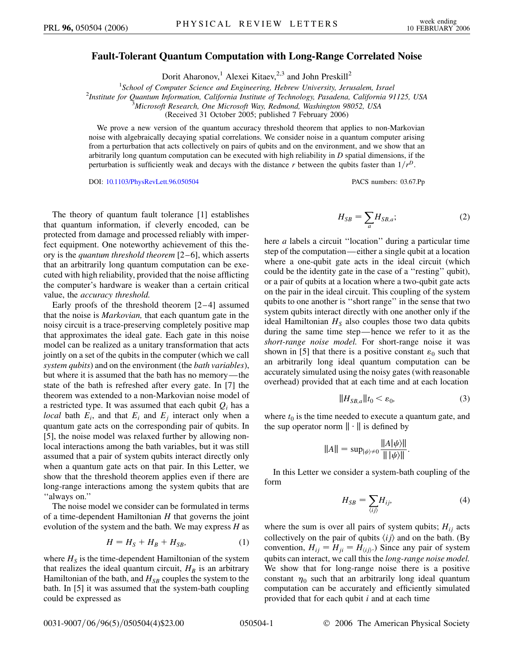## **Fault-Tolerant Quantum Computation with Long-Range Correlated Noise**

Dorit Aharonov,<sup>1</sup> Alexei Kitaev,<sup>2,3</sup> and John Preskill<sup>2</sup>

<sup>1</sup> School of Computer Science and Engineering, Hebrew University, Jerusalem, Israel<br><sup>2</sup> Institute for Quantum Information, California Institute of Technology, Pasadena, California 9

*Institute for Quantum Information, California Institute of Technology, Pasadena, California 91125, USA* <sup>3</sup>

*Microsoft Research, One Microsoft Way, Redmond, Washington 98052, USA*

(Received 31 October 2005; published 7 February 2006)

We prove a new version of the quantum accuracy threshold theorem that applies to non-Markovian noise with algebraically decaying spatial correlations. We consider noise in a quantum computer arising from a perturbation that acts collectively on pairs of qubits and on the environment, and we show that an arbitrarily long quantum computation can be executed with high reliability in *D* spatial dimensions, if the perturbation is sufficiently weak and decays with the distance *r* between the qubits faster than  $1/r^D$ .

DOI: [10.1103/PhysRevLett.96.050504](http://dx.doi.org/10.1103/PhysRevLett.96.050504) PACS numbers: 03.67.Pp

The theory of quantum fault tolerance [1] establishes that quantum information, if cleverly encoded, can be protected from damage and processed reliably with imperfect equipment. One noteworthy achievement of this theory is the *quantum threshold theorem* [2 –6], which asserts that an arbitrarily long quantum computation can be executed with high reliability, provided that the noise afflicting the computer's hardware is weaker than a certain critical value, the *accuracy threshold.*

Early proofs of the threshold theorem  $[2-4]$  assumed that the noise is *Markovian,* that each quantum gate in the noisy circuit is a trace-preserving completely positive map that approximates the ideal gate. Each gate in this noise model can be realized as a unitary transformation that acts jointly on a set of the qubits in the computer (which we call *system qubits*) and on the environment (the *bath variables*), but where it is assumed that the bath has no memory—the state of the bath is refreshed after every gate. In [7] the theorem was extended to a non-Markovian noise model of a restricted type. It was assumed that each qubit  $Q_i$  has a *local* bath  $E_i$ , and that  $E_i$  and  $E_j$  interact only when a quantum gate acts on the corresponding pair of qubits. In [5], the noise model was relaxed further by allowing nonlocal interactions among the bath variables, but it was still assumed that a pair of system qubits interact directly only when a quantum gate acts on that pair. In this Letter, we show that the threshold theorem applies even if there are long-range interactions among the system qubits that are ''always on.''

The noise model we consider can be formulated in terms of a time-dependent Hamiltonian *H* that governs the joint evolution of the system and the bath. We may express *H* as

$$
H = H_S + H_B + H_{SB},\tag{1}
$$

where  $H<sub>S</sub>$  is the time-dependent Hamiltonian of the system that realizes the ideal quantum circuit,  $H_B$  is an arbitrary Hamiltonian of the bath, and  $H_{SB}$  couples the system to the bath. In [5] it was assumed that the system-bath coupling could be expressed as

$$
H_{SB} = \sum_{a} H_{SB,a};\tag{2}
$$

here *a* labels a circuit "location" during a particular time step of the computation—either a single qubit at a location where a one-qubit gate acts in the ideal circuit (which could be the identity gate in the case of a ''resting'' qubit), or a pair of qubits at a location where a two-qubit gate acts on the pair in the ideal circuit. This coupling of the system qubits to one another is ''short range'' in the sense that two system qubits interact directly with one another only if the ideal Hamiltonian  $H<sub>S</sub>$  also couples those two data qubits during the same time step—hence we refer to it as the *short-range noise model.* For short-range noise it was shown in [5] that there is a positive constant  $\varepsilon_0$  such that an arbitrarily long ideal quantum computation can be accurately simulated using the noisy gates (with reasonable overhead) provided that at each time and at each location

$$
||H_{SB,a}||t_0 < \varepsilon_0,\tag{3}
$$

where  $t_0$  is the time needed to execute a quantum gate, and the sup operator norm  $\|\cdot\|$  is defined by

$$
||A|| = \sup_{|\psi\rangle \neq 0} \frac{||A|\psi\rangle||}{|| |\psi\rangle||}.
$$

In this Letter we consider a system-bath coupling of the form

$$
H_{SB} = \sum_{\langle ij \rangle} H_{ij},\tag{4}
$$

where the sum is over all pairs of system qubits;  $H_{ij}$  acts collectively on the pair of qubits  $\langle ij \rangle$  and on the bath. (By convention,  $H_{ij} = H_{ji} = H_{\langle ij \rangle}$ .) Since any pair of system qubits can interact, we call this the *long-range noise model.* We show that for long-range noise there is a positive constant  $\eta_0$  such that an arbitrarily long ideal quantum computation can be accurately and efficiently simulated provided that for each qubit *i* and at each time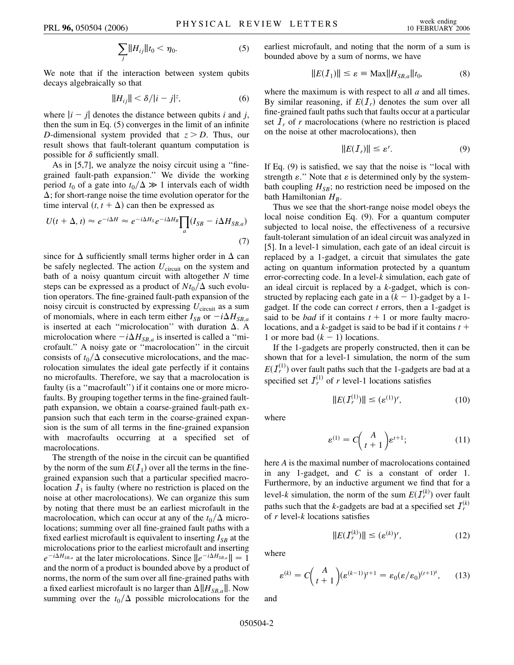$$
\sum_{j} \left\| H_{ij} \right\| t_0 < \eta_0. \tag{5}
$$

We note that if the interaction between system qubits decays algebraically so that

$$
||H_{ij}|| < \delta / |i - j|^z, \tag{6}
$$

where  $|i - j|$  denotes the distance between qubits *i* and *j*, then the sum in Eq. (5) converges in the limit of an infinite *D*-dimensional system provided that *z>D*. Thus, our result shows that fault-tolerant quantum computation is possible for  $\delta$  sufficiently small.

As in [5,7], we analyze the noisy circuit using a ''finegrained fault-path expansion.'' We divide the working period  $t_0$  of a gate into  $t_0/\Delta \gg 1$  intervals each of width  $\Delta$ ; for short-range noise the time evolution operator for the time interval  $(t, t + \Delta)$  can then be expressed as

$$
U(t + \Delta, t) \approx e^{-i\Delta H} \approx e^{-i\Delta H_S} e^{-i\Delta H_B} \prod_a (I_{SB} - i\Delta H_{SB,a})
$$
\n(7)

since for  $\Delta$  sufficiently small terms higher order in  $\Delta$  can be safely neglected. The action  $U_{\text{circuit}}$  on the system and bath of a noisy quantum circuit with altogether *N* time steps can be expressed as a product of  $Nt_0/\Delta$  such evolution operators. The fine-grained fault-path expansion of the noisy circuit is constructed by expressing  $U_{\text{circuit}}$  as a sum of monomials, where in each term either  $I_{SB}$  or  $-i\Delta H_{SB,a}$ is inserted at each "microlocation" with duration  $\Delta$ . A microlocation where  $-i\Delta H_{SB,a}$  is inserted is called a "microfault.'' A noisy gate or ''macrolocation'' in the circuit consists of  $t_0/\Delta$  consecutive microlocations, and the macrolocation simulates the ideal gate perfectly if it contains no microfaults. Therefore, we say that a macrolocation is faulty (is a "macrofault") if it contains one or more microfaults. By grouping together terms in the fine-grained faultpath expansion, we obtain a coarse-grained fault-path expansion such that each term in the coarse-grained expansion is the sum of all terms in the fine-grained expansion with macrofaults occurring at a specified set of macrolocations.

The strength of the noise in the circuit can be quantified by the norm of the sum  $E(I_1)$  over all the terms in the finegrained expansion such that a particular specified macrolocation  $I_1$  is faulty (where no restriction is placed on the noise at other macrolocations). We can organize this sum by noting that there must be an earliest microfault in the macrolocation, which can occur at any of the  $t_0/\Delta$  microlocations; summing over all fine-grained fault paths with a fixed earliest microfault is equivalent to inserting  $I_{SB}$  at the microlocations prior to the earliest microfault and inserting  $e^{-i\Delta H_{SB,a}}$  at the later microlocations. Since  $\|e^{-i\Delta H_{SB,a}}\| = 1$ and the norm of a product is bounded above by a product of norms, the norm of the sum over all fine-grained paths with a fixed earliest microfault is no larger than  $\Delta ||H_{SB,a}||$ . Now summing over the  $t_0/\Delta$  possible microlocations for the earliest microfault, and noting that the norm of a sum is bounded above by a sum of norms, we have

$$
||E(I_1)|| \le \varepsilon \equiv \text{Max}||H_{SB,a}||t_0,\tag{8}
$$

where the maximum is with respect to all *a* and all times. By similar reasoning, if  $E(I_r)$  denotes the sum over all fine-grained fault paths such that faults occur at a particular set  $I_r$  of  $r$  macrolocations (where no restriction is placed on the noise at other macrolocations), then

$$
||E(I_r)|| \le \varepsilon^r. \tag{9}
$$

If Eq. (9) is satisfied, we say that the noise is ''local with strength  $\varepsilon$ ." Note that  $\varepsilon$  is determined only by the systembath coupling  $H_{SB}$ ; no restriction need be imposed on the bath Hamiltonian  $H_B$ .

Thus we see that the short-range noise model obeys the local noise condition Eq. (9). For a quantum computer subjected to local noise, the effectiveness of a recursive fault-tolerant simulation of an ideal circuit was analyzed in [5]. In a level-1 simulation, each gate of an ideal circuit is replaced by a 1-gadget, a circuit that simulates the gate acting on quantum information protected by a quantum error-correcting code. In a level-*k* simulation, each gate of an ideal circuit is replaced by a *k*-gadget, which is constructed by replacing each gate in a  $(k - 1)$ -gadget by a 1gadget. If the code can correct *t* errors, then a 1-gadget is said to be *bad* if it contains  $t + 1$  or more faulty macrolocations, and a  $k$ -gadget is said to be bad if it contains  $t +$ 1 or more bad  $(k - 1)$  locations.

If the 1-gadgets are properly constructed, then it can be shown that for a level-1 simulation, the norm of the sum  $E(I_r^{(1)})$  over fault paths such that the 1-gadgets are bad at a specified set  $I_r^{(1)}$  of *r* level-1 locations satisfies

$$
||E(I_r^{(1)})|| \le (\varepsilon^{(1)})^r,\tag{10}
$$

where

$$
\varepsilon^{(1)} = C \binom{A}{t+1} \varepsilon^{t+1};\tag{11}
$$

here *A* is the maximal number of macrolocations contained in any 1-gadget, and *C* is a constant of order 1. Furthermore, by an inductive argument we find that for a level-*k* simulation, the norm of the sum  $E(I_r^{(k)})$  over fault paths such that the *k*-gadgets are bad at a specified set  $I_r^{(k)}$ of *r* level-*k* locations satisfies

$$
||E(I_r^{(k)})|| \le (\varepsilon^{(k)})^r,\tag{12}
$$

where

$$
\varepsilon^{(k)} = C \binom{A}{t+1} (\varepsilon^{(k-1)})^{t+1} = \varepsilon_0 (\varepsilon / \varepsilon_0)^{(t+1)^k}, \qquad (13)
$$

and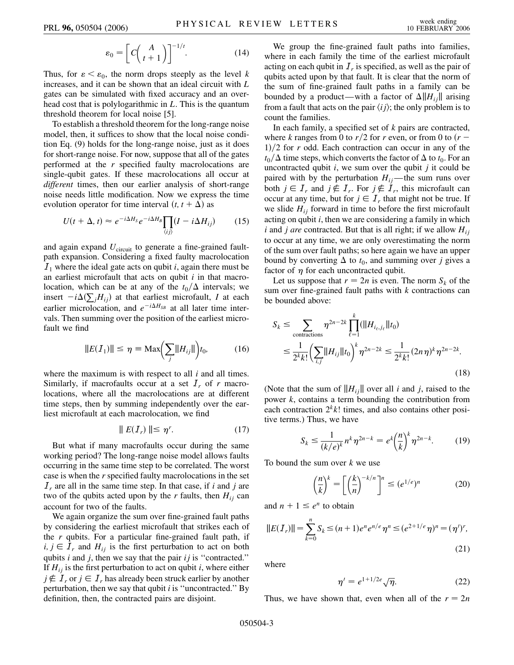$$
\varepsilon_0 = \left[ C \binom{A}{t+1} \right]^{-1/t} . \tag{14}
$$

Thus, for  $\varepsilon < \varepsilon_0$ , the norm drops steeply as the level *k* increases, and it can be shown that an ideal circuit with *L* gates can be simulated with fixed accuracy and an overhead cost that is polylogarithmic in *L*. This is the quantum threshold theorem for local noise [5].

To establish a threshold theorem for the long-range noise model, then, it suffices to show that the local noise condition Eq. (9) holds for the long-range noise, just as it does for short-range noise. For now, suppose that all of the gates performed at the *r* specified faulty macrolocations are single-qubit gates. If these macrolocations all occur at *different* times, then our earlier analysis of short-range noise needs little modification. Now we express the time evolution operator for time interval  $(t, t + \Delta)$  as

$$
U(t+\Delta, t) \approx e^{-i\Delta H_S} e^{-i\Delta H_B} \prod_{\langle i j \rangle} (I - i\Delta H_{ij}) \tag{15}
$$

and again expand  $U_{\text{circuit}}$  to generate a fine-grained faultpath expansion. Considering a fixed faulty macrolocation  $I_1$  where the ideal gate acts on qubit *i*, again there must be an earliest microfault that acts on qubit *i* in that macrolocation, which can be at any of the  $t_0/\Delta$  intervals; we insert  $-i\Delta(\sum_j H_{ij})$  at that earliest microfault, *I* at each earlier microlocation, and  $e^{-i\Delta H_{SB}}$  at all later time intervals. Then summing over the position of the earliest microfault we find

$$
||E(I_1)|| \le \eta = \text{Max} \Big( \sum_{j} ||H_{ij}|| \Big) t_0, \tag{16}
$$

where the maximum is with respect to all *i* and all times. Similarly, if macrofaults occur at a set  $I_r$  of  $r$  macrolocations, where all the macrolocations are at different time steps, then by summing independently over the earliest microfault at each macrolocation, we find

$$
\parallel E(I_r) \parallel \leq \eta^r. \tag{17}
$$

But what if many macrofaults occur during the same working period? The long-range noise model allows faults occurring in the same time step to be correlated. The worst case is when the *r* specified faulty macrolocations in the set I*<sup>r</sup>* are all in the same time step. In that case, if *i* and *j* are two of the qubits acted upon by the  $r$  faults, then  $H_{ij}$  can account for two of the faults.

We again organize the sum over fine-grained fault paths by considering the earliest microfault that strikes each of the *r* qubits. For a particular fine-grained fault path, if  $i, j \in I_r$  and  $H_{ij}$  is the first perturbation to act on both qubits *i* and *j*, then we say that the pair *ij* is ''contracted.'' If  $H_{ij}$  is the first perturbation to act on qubit *i*, where either  $j \notin I_r$  or  $j \in I_r$  has already been struck earlier by another perturbation, then we say that qubit *i* is ''uncontracted.'' By definition, then, the contracted pairs are disjoint.

We group the fine-grained fault paths into families, where in each family the time of the earliest microfault acting on each qubit in  $I<sub>r</sub>$  is specified, as well as the pair of qubits acted upon by that fault. It is clear that the norm of the sum of fine-grained fault paths in a family can be bounded by a product—with a factor of  $\Delta ||H_{ii}||$  arising from a fault that acts on the pair  $\langle ij \rangle$ ; the only problem is to count the families.

In each family, a specified set of *k* pairs are contracted, where *k* ranges from 0 to  $r/2$  for *r* even, or from 0 to  $(r 1/2$  for *r* odd. Each contraction can occur in any of the  $t_0/\Delta$  time steps, which converts the factor of  $\Delta$  to  $t_0$ . For an uncontracted qubit *i*, we sum over the qubit *j* it could be paired with by the perturbation  $H_{ij}$ —the sum runs over both  $j \in I_r$  and  $j \notin I_r$ . For  $j \notin I_r$ , this microfault can occur at any time, but for  $j \in I_r$  that might not be true. If we slide  $H_{ij}$  forward in time to before the first microfault acting on qubit *i*, then we are considering a family in which *i* and *j are* contracted. But that is all right; if we allow  $H_{ij}$ to occur at any time, we are only overestimating the norm of the sum over fault paths; so here again we have an upper bound by converting  $\Delta$  to  $t_0$ , and summing over *j* gives a factor of  $\eta$  for each uncontracted qubit.

Let us suppose that  $r = 2n$  is even. The norm  $S_k$  of the sum over fine-grained fault paths with *k* contractions can be bounded above:

$$
S_k \leq \sum_{\text{contractions}} \eta^{2n-2k} \prod_{\ell=1}^k (||H_{i_\ell,j_\ell}||t_0)
$$
  

$$
\leq \frac{1}{2^k k!} \left(\sum_{i,j} ||H_{ij}||t_0\right)^k \eta^{2n-2k} \leq \frac{1}{2^k k!} (2n\eta)^k \eta^{2n-2k}.
$$
 (18)

(Note that the sum of  $||H_{ij}||$  over all *i* and *j*, raised to the power *k*, contains a term bounding the contribution from each contraction  $2^k k!$  times, and also contains other positive terms.) Thus, we have

$$
S_k \le \frac{1}{(k/e)^k} n^k \eta^{2n-k} = e^k \left(\frac{n}{k}\right)^k \eta^{2n-k}.
$$
 (19)

To bound the sum over *k* we use

$$
\left(\frac{n}{k}\right)^k = \left[\left(\frac{k}{n}\right)^{-k/n}\right]^n \le (e^{1/e})^n \tag{20}
$$

and  $n + 1 \le e^n$  to obtain

$$
||E(I_r)|| = \sum_{k=0}^{n} S_k \le (n+1)e^n e^{n/e} \eta^n \le (e^{2+1/e} \eta)^n = (\eta')^r,
$$
\n(21)

where

$$
\eta' = e^{1+1/2e} \sqrt{\eta}.
$$
 (22)

Thus, we have shown that, even when all of the  $r = 2n$